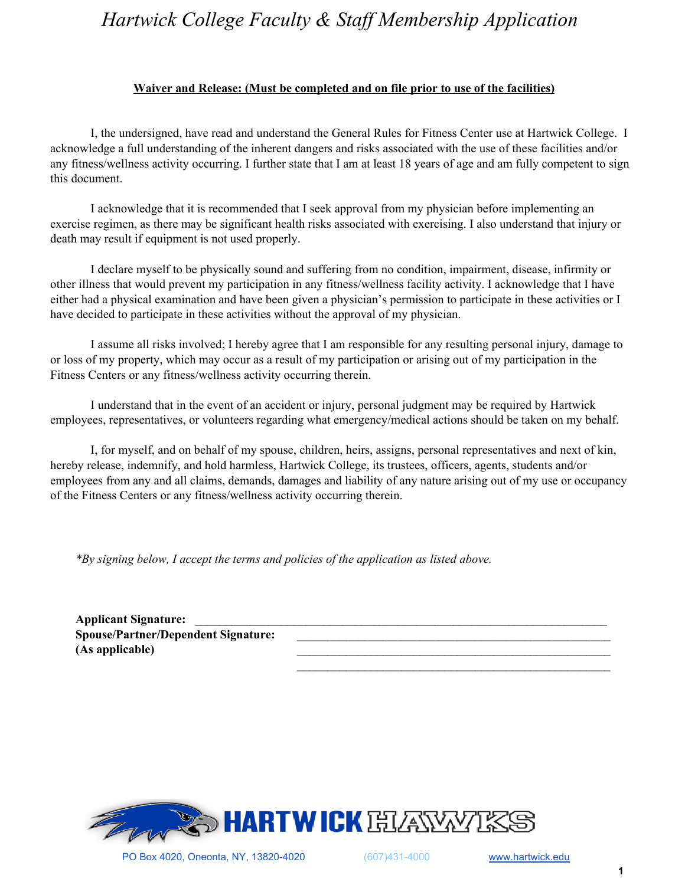## *Hartwick College Faculty & Staff Membership Application*

## **Waiver and Release: (Must be completed and on file prior to use of the facilities)**

I, the undersigned, have read and understand the General Rules for Fitness Center use at Hartwick College. I acknowledge a full understanding of the inherent dangers and risks associated with the use of these facilities and/or any fitness/wellness activity occurring. I further state that I am at least 18 years of age and am fully competent to sign this document.

I acknowledge that it is recommended that I seek approval from my physician before implementing an exercise regimen, as there may be significant health risks associated with exercising. I also understand that injury or death may result if equipment is not used properly.

I declare myself to be physically sound and suffering from no condition, impairment, disease, infirmity or other illness that would prevent my participation in any fitness/wellness facility activity. I acknowledge that I have either had a physical examination and have been given a physician's permission to participate in these activities or I have decided to participate in these activities without the approval of my physician.

I assume all risks involved; I hereby agree that I am responsible for any resulting personal injury, damage to or loss of my property, which may occur as a result of my participation or arising out of my participation in the Fitness Centers or any fitness/wellness activity occurring therein.

I understand that in the event of an accident or injury, personal judgment may be required by Hartwick employees, representatives, or volunteers regarding what emergency/medical actions should be taken on my behalf.

I, for myself, and on behalf of my spouse, children, heirs, assigns, personal representatives and next of kin, hereby release, indemnify, and hold harmless, Hartwick College, its trustees, officers, agents, students and/or employees from any and all claims, demands, damages and liability of any nature arising out of my use or occupancy of the Fitness Centers or any fitness/wellness activity occurring therein.

*\*By signing below, I accept the terms and policies of the application as listed above.*

Applicant Signature: **Spouse/Partner/Dependent Signature:** \_\_\_\_\_\_\_\_\_\_\_\_\_\_\_\_\_\_\_\_\_\_\_\_\_\_\_\_\_\_\_\_\_\_\_\_\_\_\_\_\_\_\_\_\_\_\_\_\_\_\_ **(As applicable)** \_\_\_\_\_\_\_\_\_\_\_\_\_\_\_\_\_\_\_\_\_\_\_\_\_\_\_\_\_\_\_\_\_\_\_\_\_\_\_\_\_\_\_\_\_\_\_\_\_\_\_